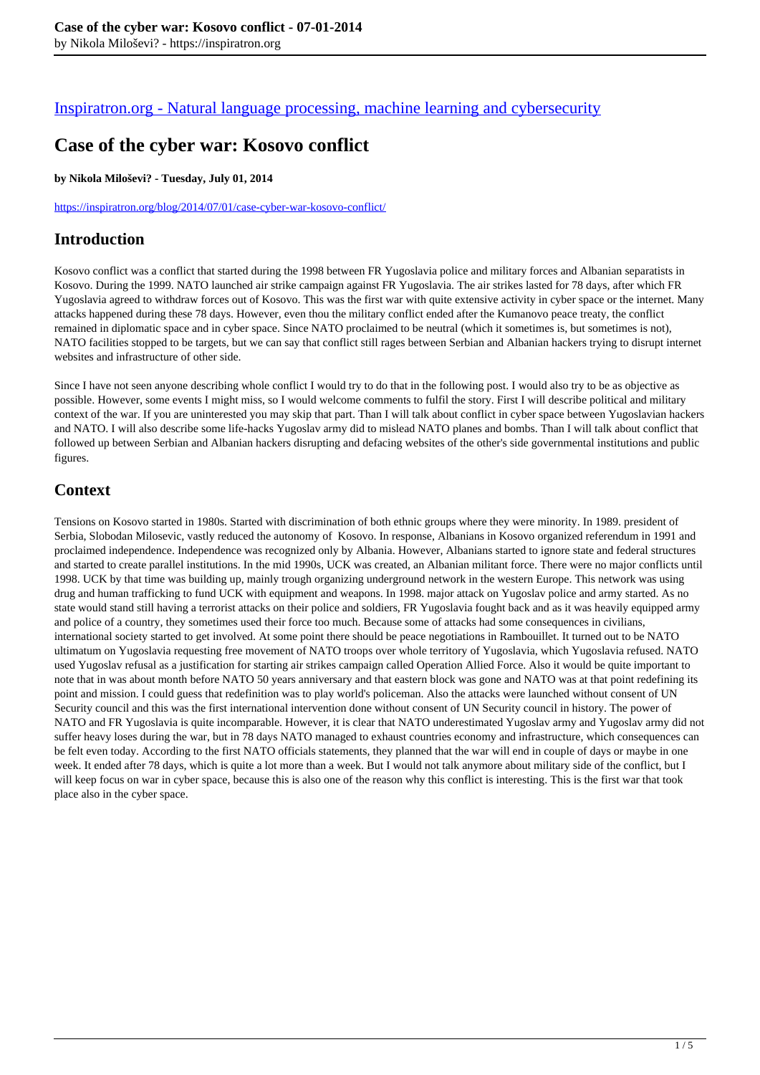#### [Inspiratron.org - Natural language processing, machine learning and cybersecurity](https://inspiratron.org)

# **Case of the cyber war: Kosovo conflict**

#### **by Nikola Miloševi? - Tuesday, July 01, 2014**

https://inspiratron.org/blog/2014/07/01/case-cyber-war-kosovo-conflict/

#### **Introduction**

Kosovo conflict was a conflict that started during the 1998 between FR Yugoslavia police and military forces and Albanian separatists in Kosovo. During the 1999. NATO launched air strike campaign against FR Yugoslavia. The air strikes lasted for 78 days, after which FR Yugoslavia agreed to withdraw forces out of Kosovo. This was the first war with quite extensive activity in cyber space or the internet. Many attacks happened during these 78 days. However, even thou the military conflict ended after the Kumanovo peace treaty, the conflict remained in diplomatic space and in cyber space. Since NATO proclaimed to be neutral (which it sometimes is, but sometimes is not), NATO facilities stopped to be targets, but we can say that conflict still rages between Serbian and Albanian hackers trying to disrupt internet websites and infrastructure of other side.

Since I have not seen anyone describing whole conflict I would try to do that in the following post. I would also try to be as objective as possible. However, some events I might miss, so I would welcome comments to fulfil the story. First I will describe political and military context of the war. If you are uninterested you may skip that part. Than I will talk about conflict in cyber space between Yugoslavian hackers and NATO. I will also describe some life-hacks Yugoslav army did to mislead NATO planes and bombs. Than I will talk about conflict that followed up between Serbian and Albanian hackers disrupting and defacing websites of the other's side governmental institutions and public figures.

# **Context**

Tensions on Kosovo started in 1980s. Started with discrimination of both ethnic groups where they were minority. In 1989. president of Serbia, Slobodan Milosevic, vastly reduced the autonomy of Kosovo. In response, Albanians in Kosovo organized referendum in 1991 and proclaimed independence. Independence was recognized only by Albania. However, Albanians started to ignore state and federal structures and started to create parallel institutions. In the mid 1990s, UCK was created, an Albanian militant force. There were no major conflicts until 1998. UCK by that time was building up, mainly trough organizing underground network in the western Europe. This network was using drug and human trafficking to fund UCK with equipment and weapons. In 1998. major attack on Yugoslav police and army started. As no state would stand still having a terrorist attacks on their police and soldiers, FR Yugoslavia fought back and as it was heavily equipped army and police of a country, they sometimes used their force too much. Because some of attacks had some consequences in civilians, international society started to get involved. At some point there should be peace negotiations in Rambouillet. It turned out to be NATO ultimatum on Yugoslavia requesting free movement of NATO troops over whole territory of Yugoslavia, which Yugoslavia refused. NATO used Yugoslav refusal as a justification for starting air strikes campaign called Operation Allied Force. Also it would be quite important to note that in was about month before NATO 50 years anniversary and that eastern block was gone and NATO was at that point redefining its point and mission. I could guess that redefinition was to play world's policeman. Also the attacks were launched without consent of UN Security council and this was the first international intervention done without consent of UN Security council in history. The power of NATO and FR Yugoslavia is quite incomparable. However, it is clear that NATO underestimated Yugoslav army and Yugoslav army did not suffer heavy loses during the war, but in 78 days NATO managed to exhaust countries economy and infrastructure, which consequences can be felt even today. According to the first NATO officials statements, they planned that the war will end in couple of days or maybe in one week. It ended after 78 days, which is quite a lot more than a week. But I would not talk anymore about military side of the conflict, but I will keep focus on war in cyber space, because this is also one of the reason why this conflict is interesting. This is the first war that took place also in the cyber space.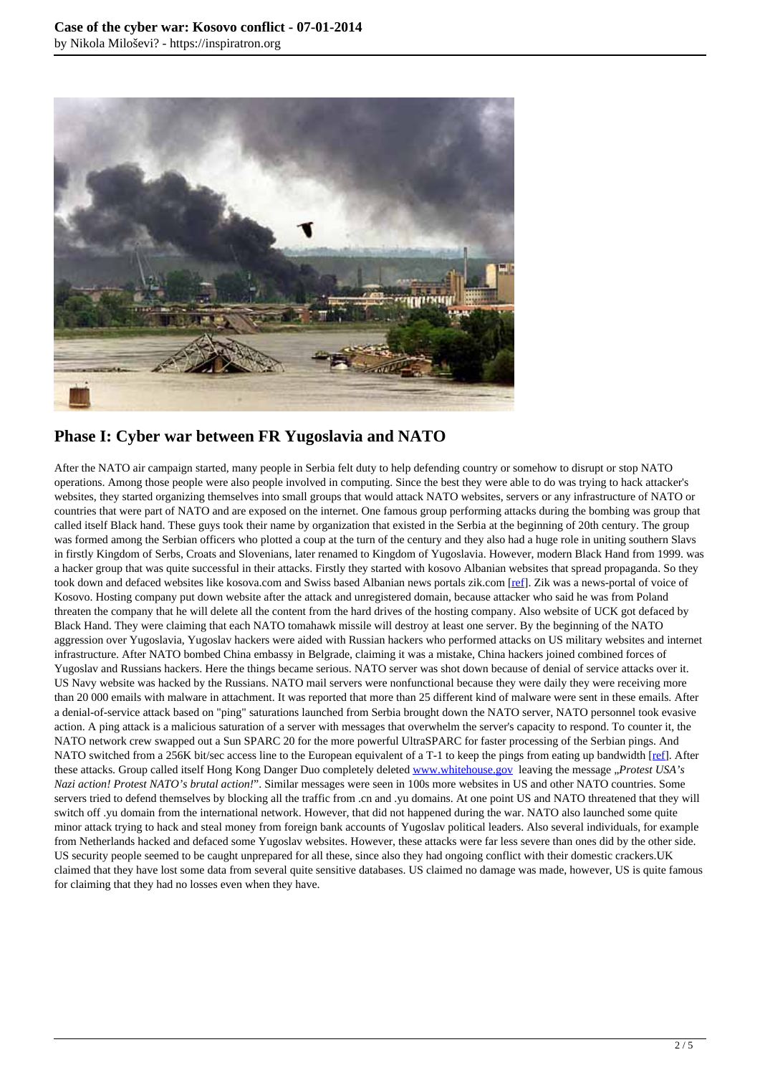

# **Phase I: Cyber war between FR Yugoslavia and NATO**

After the NATO air campaign started, many people in Serbia felt duty to help defending country or somehow to disrupt or stop NATO operations. Among those people were also people involved in computing. Since the best they were able to do was trying to hack attacker's websites, they started organizing themselves into small groups that would attack NATO websites, servers or any infrastructure of NATO or countries that were part of NATO and are exposed on the internet. One famous group performing attacks during the bombing was group that called itself Black hand. These guys took their name by organization that existed in the Serbia at the beginning of 20th century. The group was formed among the Serbian officers who plotted a coup at the turn of the century and they also had a huge role in uniting southern Slavs in firstly Kingdom of Serbs, Croats and Slovenians, later renamed to Kingdom of Yugoslavia. However, modern Black Hand from 1999. was a hacker group that was quite successful in their attacks. Firstly they started with kosovo Albanian websites that spread propaganda. So they took down and defaced websites like kosova.com and Swiss based Albanian news portals zik.com [ref]. Zik was a news-portal of voice of Kosovo. Hosting company put down website after the attack and unregistered domain, because attacker who said he was from Poland threaten the company that he will delete all the content from the hard drives of the hosting company. Also website of UCK got defaced by Black Hand. They were claiming that each NATO tomahawk missile will destroy at least one server. By the beginning of the NATO aggression over Yugoslavia, Yugoslav hackers were aided with Russian hackers who performed attacks on US military websites and internet infrastructure. After NATO bombed China embassy in Belgrade, claiming it was a mistake, China hackers joined combined forces of Yugoslav and Russians hackers. Here the things became serious. NATO server was shot down because of denial of service attacks over it. US Navy website was hacked by the Russians. NATO mail servers were nonfunctional because they were daily they were receiving more than 20 000 emails with malware in attachment. It was reported that more than 25 different kind of malware were sent in these emails. After a denial-of-service attack based on "ping" saturations launched from Serbia brought down the NATO server, NATO personnel took evasive action. A ping attack is a malicious saturation of a server with messages that overwhelm the server's capacity to respond. To counter it, the NATO network crew swapped out a Sun SPARC 20 for the more powerful UltraSPARC for faster processing of the Serbian pings. And NATO switched from a 256K bit/sec access line to the European equivalent of a T-1 to keep the pings from eating up bandwidth [ref]. After these attacks. Group called itself Hong Kong Danger Duo completely deleted www.whitehouse.gov leaving the message "*Protest USA's Nazi action! Protest NATO's brutal action!*". Similar messages were seen in 100s more websites in US and other NATO countries. Some servers tried to defend themselves by blocking all the traffic from .cn and .yu domains. At one point US and NATO threatened that they will switch off .yu domain from the international network. However, that did not happened during the war. NATO also launched some quite minor attack trying to hack and steal money from foreign bank accounts of Yugoslav political leaders. Also several individuals, for example from Netherlands hacked and defaced some Yugoslav websites. However, these attacks were far less severe than ones did by the other side. US security people seemed to be caught unprepared for all these, since also they had ongoing conflict with their domestic crackers.UK claimed that they have lost some data from several quite sensitive databases. US claimed no damage was made, however, US is quite famous for claiming that they had no losses even when they have.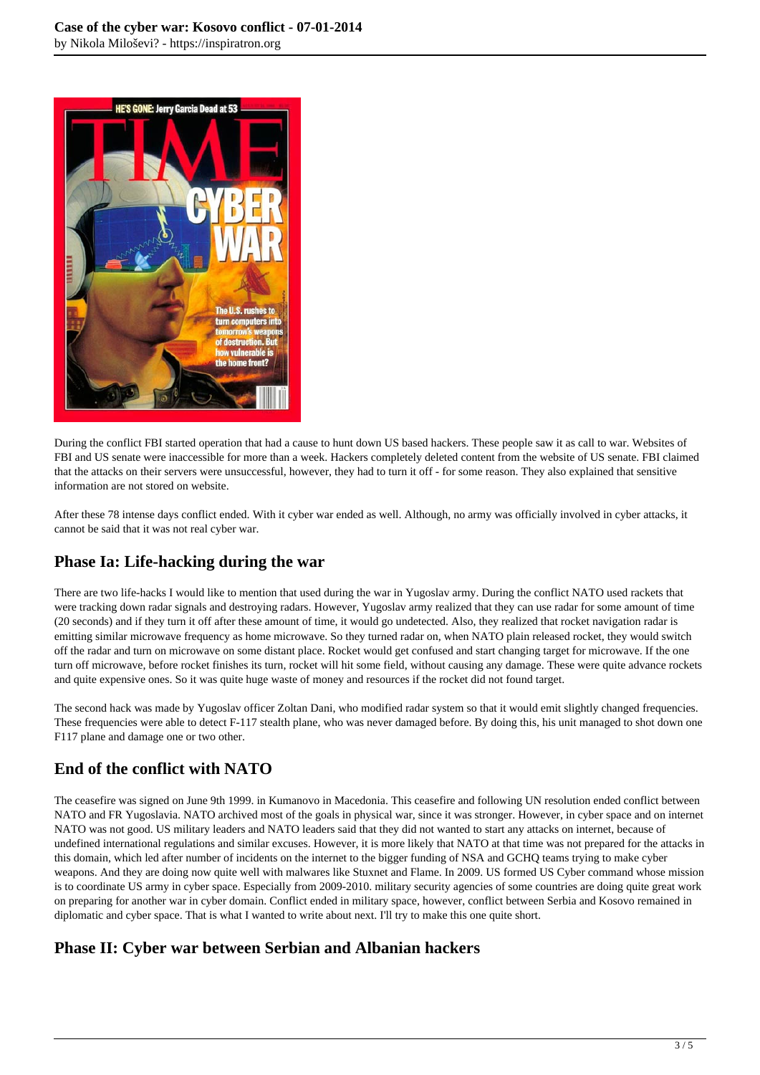

During the conflict FBI started operation that had a cause to hunt down US based hackers. These people saw it as call to war. Websites of FBI and US senate were inaccessible for more than a week. Hackers completely deleted content from the website of US senate. FBI claimed that the attacks on their servers were unsuccessful, however, they had to turn it off - for some reason. They also explained that sensitive information are not stored on website.

After these 78 intense days conflict ended. With it cyber war ended as well. Although, no army was officially involved in cyber attacks, it cannot be said that it was not real cyber war.

# **Phase Ia: Life-hacking during the war**

There are two life-hacks I would like to mention that used during the war in Yugoslav army. During the conflict NATO used rackets that were tracking down radar signals and destroying radars. However, Yugoslav army realized that they can use radar for some amount of time (20 seconds) and if they turn it off after these amount of time, it would go undetected. Also, they realized that rocket navigation radar is emitting similar microwave frequency as home microwave. So they turned radar on, when NATO plain released rocket, they would switch off the radar and turn on microwave on some distant place. Rocket would get confused and start changing target for microwave. If the one turn off microwave, before rocket finishes its turn, rocket will hit some field, without causing any damage. These were quite advance rockets and quite expensive ones. So it was quite huge waste of money and resources if the rocket did not found target.

The second hack was made by Yugoslav officer Zoltan Dani, who modified radar system so that it would emit slightly changed frequencies. These frequencies were able to detect F-117 stealth plane, who was never damaged before. By doing this, his unit managed to shot down one F117 plane and damage one or two other.

# **End of the conflict with NATO**

The ceasefire was signed on June 9th 1999. in Kumanovo in Macedonia. This ceasefire and following UN resolution ended conflict between NATO and FR Yugoslavia. NATO archived most of the goals in physical war, since it was stronger. However, in cyber space and on internet NATO was not good. US military leaders and NATO leaders said that they did not wanted to start any attacks on internet, because of undefined international regulations and similar excuses. However, it is more likely that NATO at that time was not prepared for the attacks in this domain, which led after number of incidents on the internet to the bigger funding of NSA and GCHQ teams trying to make cyber weapons. And they are doing now quite well with malwares like Stuxnet and Flame. In 2009. US formed US Cyber command whose mission is to coordinate US army in cyber space. Especially from 2009-2010. military security agencies of some countries are doing quite great work on preparing for another war in cyber domain. Conflict ended in military space, however, conflict between Serbia and Kosovo remained in diplomatic and cyber space. That is what I wanted to write about next. I'll try to make this one quite short.

#### **Phase II: Cyber war between Serbian and Albanian hackers**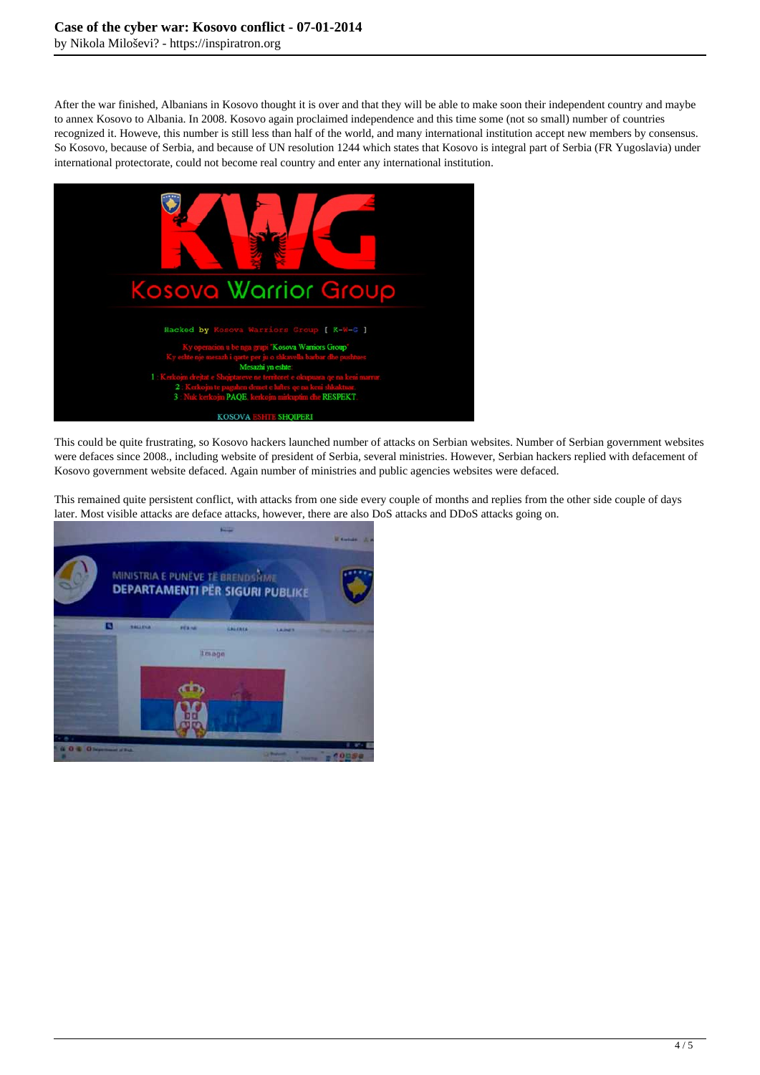After the war finished, Albanians in Kosovo thought it is over and that they will be able to make soon their independent country and maybe to annex Kosovo to Albania. In 2008. Kosovo again proclaimed independence and this time some (not so small) number of countries recognized it. Howeve, this number is still less than half of the world, and many international institution accept new members by consensus. So Kosovo, because of Serbia, and because of UN resolution 1244 which states that Kosovo is integral part of Serbia (FR Yugoslavia) under international protectorate, could not become real country and enter any international institution.



This could be quite frustrating, so Kosovo hackers launched number of attacks on Serbian websites. Number of Serbian government websites were defaces since 2008., including website of president of Serbia, several ministries. However, Serbian hackers replied with defacement of Kosovo government website defaced. Again number of ministries and public agencies websites were defaced.

This remained quite persistent conflict, with attacks from one side every couple of months and replies from the other side couple of days later. Most visible attacks are deface attacks, however, there are also DoS attacks and DDoS attacks going on.